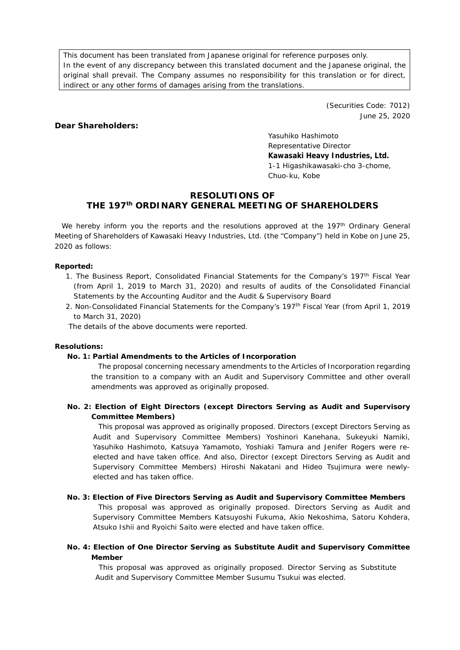This document has been translated from Japanese original for reference purposes only. In the event of any discrepancy between this translated document and the Japanese original, the original shall prevail. The Company assumes no responsibility for this translation or for direct, indirect or any other forms of damages arising from the translations.

> (Securities Code: 7012) June 25, 2020

### **Dear Shareholders:**

Yasuhiko Hashimoto Representative Director **Kawasaki Heavy Industries, Ltd.** 1-1 Higashikawasaki-cho 3-chome, Chuo-ku, Kobe

# **RESOLUTIONS OF THE 197th ORDINARY GENERAL MEETING OF SHAREHOLDERS**

We hereby inform you the reports and the resolutions approved at the 197<sup>th</sup> Ordinary General Meeting of Shareholders of Kawasaki Heavy Industries, Ltd. (the "Company") held in Kobe on June 25, 2020 as follows:

#### **Reported:**

- 1. The Business Report, Consolidated Financial Statements for the Company's 197<sup>th</sup> Fiscal Year (from April 1, 2019 to March 31, 2020) and results of audits of the Consolidated Financial Statements by the Accounting Auditor and the Audit & Supervisory Board
- 2. Non-Consolidated Financial Statements for the Company's 197th Fiscal Year (from April 1, 2019 to March 31, 2020)

The details of the above documents were reported.

#### **Resolutions:**

#### **No. 1: Partial Amendments to the Articles of Incorporation**

The proposal concerning necessary amendments to the Articles of Incorporation regarding the transition to a company with an Audit and Supervisory Committee and other overall amendments was approved as originally proposed.

**No. 2: Election of Eight Directors (except Directors Serving as Audit and Supervisory Committee Members)**

This proposal was approved as originally proposed. Directors (except Directors Serving as Audit and Supervisory Committee Members) Yoshinori Kanehana, Sukeyuki Namiki, Yasuhiko Hashimoto, Katsuya Yamamoto, Yoshiaki Tamura and Jenifer Rogers were reelected and have taken office. And also, Director (except Directors Serving as Audit and Supervisory Committee Members) Hiroshi Nakatani and Hideo Tsujimura were newlyelected and has taken office.

### **No. 3: Election of Five Directors Serving as Audit and Supervisory Committee Members**

This proposal was approved as originally proposed. Directors Serving as Audit and Supervisory Committee Members Katsuyoshi Fukuma, Akio Nekoshima, Satoru Kohdera, Atsuko Ishii and Ryoichi Saito were elected and have taken office.

## **No. 4: Election of One Director Serving as Substitute Audit and Supervisory Committee Member**

This proposal was approved as originally proposed. Director Serving as Substitute Audit and Supervisory Committee Member Susumu Tsukui was elected.